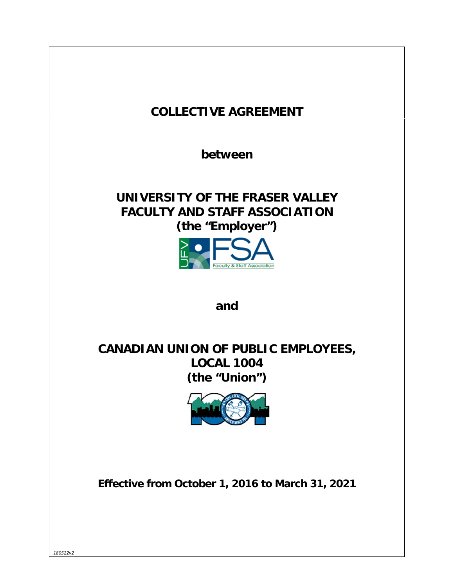| <b>COLLECTIVE AGREEMENT</b>                                                                                               |
|---------------------------------------------------------------------------------------------------------------------------|
| between                                                                                                                   |
| UNIVERSITY OF THE FRASER VALLEY<br><b>FACULTY AND STAFF ASSOCIATION</b><br>(the "Employer")<br>aculty & Staff Association |
| and                                                                                                                       |
| <b>CANADIAN UNION OF PUBLIC EMPLOYEES,</b><br><b>LOCAL 1004</b><br>(the "Union")                                          |
| Effective from October 1, 2016 to March 31, 2021                                                                          |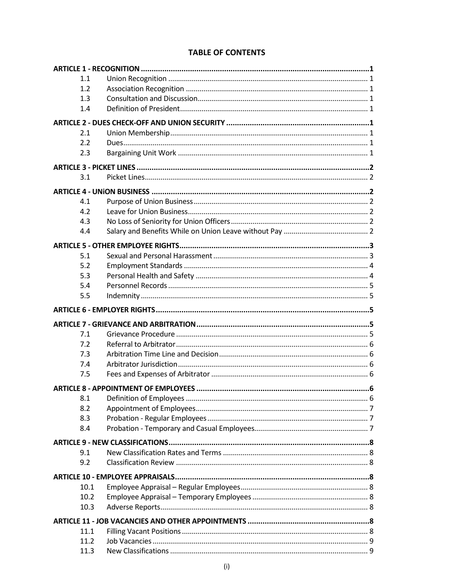| 1.1          |  |
|--------------|--|
| 1.2          |  |
| 1.3          |  |
| 1.4          |  |
|              |  |
| 2.1          |  |
| 2.2          |  |
| 2.3          |  |
|              |  |
| 3.1          |  |
|              |  |
| 4.1          |  |
| 4.2          |  |
| 4.3          |  |
| 4.4          |  |
|              |  |
|              |  |
| 5.1          |  |
| 5.2          |  |
| 5.3          |  |
| 5.4          |  |
| 5.5          |  |
|              |  |
|              |  |
|              |  |
| 7.1          |  |
| 7.2          |  |
| 7.3          |  |
| 7.4          |  |
| 7.5          |  |
|              |  |
| 8.1          |  |
| 8.2          |  |
| 8.3          |  |
| 8.4          |  |
|              |  |
| 9.1          |  |
| 9.2          |  |
|              |  |
|              |  |
| 10.1         |  |
| 10.2         |  |
| 10.3         |  |
|              |  |
| 11.1         |  |
| 11.2<br>11.3 |  |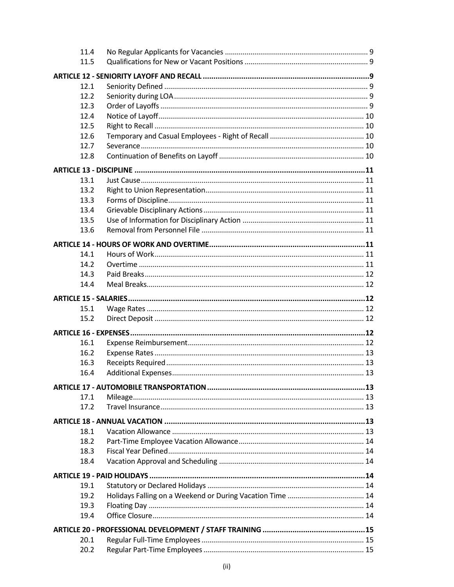| 11.4 |  |  |  |
|------|--|--|--|
| 11.5 |  |  |  |
|      |  |  |  |
| 12.1 |  |  |  |
| 12.2 |  |  |  |
| 12.3 |  |  |  |
| 12.4 |  |  |  |
| 12.5 |  |  |  |
| 12.6 |  |  |  |
| 12.7 |  |  |  |
| 12.8 |  |  |  |
|      |  |  |  |
|      |  |  |  |
| 13.1 |  |  |  |
| 13.2 |  |  |  |
| 13.3 |  |  |  |
| 13.4 |  |  |  |
| 13.5 |  |  |  |
| 13.6 |  |  |  |
|      |  |  |  |
| 14.1 |  |  |  |
| 14.2 |  |  |  |
| 14.3 |  |  |  |
| 14.4 |  |  |  |
|      |  |  |  |
|      |  |  |  |
| 15.1 |  |  |  |
| 15.2 |  |  |  |
|      |  |  |  |
| 16.1 |  |  |  |
| 16.2 |  |  |  |
| 16.3 |  |  |  |
| 16.4 |  |  |  |
|      |  |  |  |
|      |  |  |  |
| 17.1 |  |  |  |
| 17.2 |  |  |  |
|      |  |  |  |
| 18.1 |  |  |  |
| 18.2 |  |  |  |
| 18.3 |  |  |  |
| 18.4 |  |  |  |
|      |  |  |  |
| 19.1 |  |  |  |
| 19.2 |  |  |  |
| 19.3 |  |  |  |
| 19.4 |  |  |  |
|      |  |  |  |
|      |  |  |  |
| 20.1 |  |  |  |
| 20.2 |  |  |  |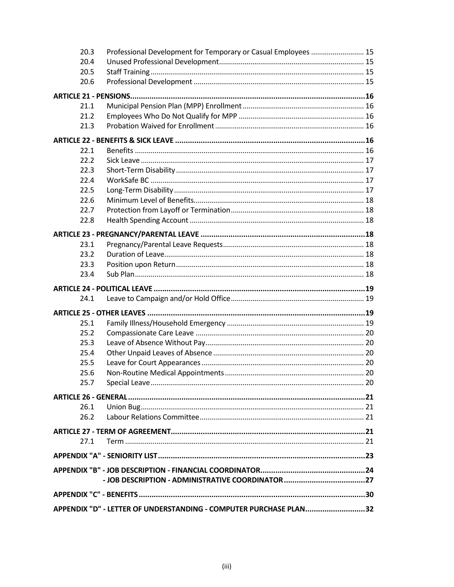| 20.3<br>Professional Development for Temporary or Casual Employees  15 |  |  |  |
|------------------------------------------------------------------------|--|--|--|
| 20.4                                                                   |  |  |  |
| 20.5                                                                   |  |  |  |
| 20.6                                                                   |  |  |  |
|                                                                        |  |  |  |
| 21.1                                                                   |  |  |  |
| 21.2                                                                   |  |  |  |
| 21.3                                                                   |  |  |  |
|                                                                        |  |  |  |
| 22.1                                                                   |  |  |  |
| 22.2                                                                   |  |  |  |
| 22.3                                                                   |  |  |  |
| 22.4                                                                   |  |  |  |
|                                                                        |  |  |  |
| 22.5                                                                   |  |  |  |
| 22.6                                                                   |  |  |  |
| 22.7                                                                   |  |  |  |
| 22.8                                                                   |  |  |  |
|                                                                        |  |  |  |
| 23.1                                                                   |  |  |  |
| 23.2                                                                   |  |  |  |
| 23.3                                                                   |  |  |  |
| 23.4                                                                   |  |  |  |
|                                                                        |  |  |  |
|                                                                        |  |  |  |
| 24.1                                                                   |  |  |  |
|                                                                        |  |  |  |
|                                                                        |  |  |  |
| 25.1                                                                   |  |  |  |
| 25.2                                                                   |  |  |  |
| 25.3                                                                   |  |  |  |
| 25.4                                                                   |  |  |  |
| 25.5                                                                   |  |  |  |
| 25.6                                                                   |  |  |  |
| 25.7                                                                   |  |  |  |
|                                                                        |  |  |  |
| 26.1                                                                   |  |  |  |
| 26.2                                                                   |  |  |  |
|                                                                        |  |  |  |
| 27.1                                                                   |  |  |  |
|                                                                        |  |  |  |
|                                                                        |  |  |  |
|                                                                        |  |  |  |
|                                                                        |  |  |  |
|                                                                        |  |  |  |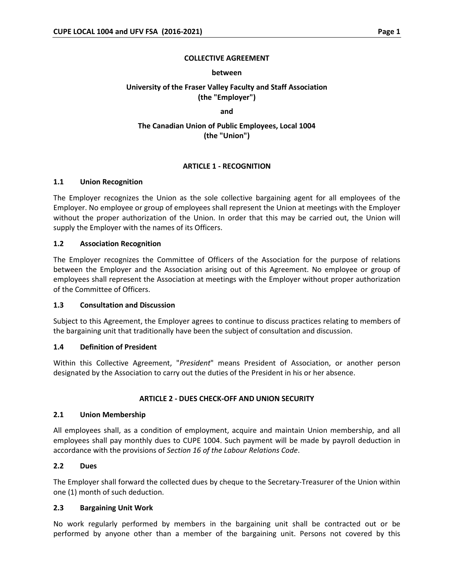#### **COLLECTIVE AGREEMENT**

#### **between**

# **University of the Fraser Valley Faculty and Staff Association (the "Employer")**

**and**

# **The Canadian Union of Public Employees, Local 1004 (the "Union")**

## **ARTICLE 1 - RECOGNITION**

#### **1.1 Union Recognition**

The Employer recognizes the Union as the sole collective bargaining agent for all employees of the Employer. No employee or group of employees shall represent the Union at meetings with the Employer without the proper authorization of the Union. In order that this may be carried out, the Union will supply the Employer with the names of its Officers.

#### **1.2 Association Recognition**

The Employer recognizes the Committee of Officers of the Association for the purpose of relations between the Employer and the Association arising out of this Agreement. No employee or group of employees shall represent the Association at meetings with the Employer without proper authorization of the Committee of Officers.

#### **1.3 Consultation and Discussion**

Subject to this Agreement, the Employer agrees to continue to discuss practices relating to members of the bargaining unit that traditionally have been the subject of consultation and discussion.

## **1.4 Definition of President**

Within this Collective Agreement, "*President*" means President of Association, or another person designated by the Association to carry out the duties of the President in his or her absence.

#### **ARTICLE 2 - DUES CHECK-OFF AND UNION SECURITY**

#### **2.1 Union Membership**

All employees shall, as a condition of employment, acquire and maintain Union membership, and all employees shall pay monthly dues to CUPE 1004. Such payment will be made by payroll deduction in accordance with the provisions of *Section 16 of the Labour Relations Code*.

## **2.2 Dues**

The Employer shall forward the collected dues by cheque to the Secretary-Treasurer of the Union within one (1) month of such deduction.

## **2.3 Bargaining Unit Work**

No work regularly performed by members in the bargaining unit shall be contracted out or be performed by anyone other than a member of the bargaining unit. Persons not covered by this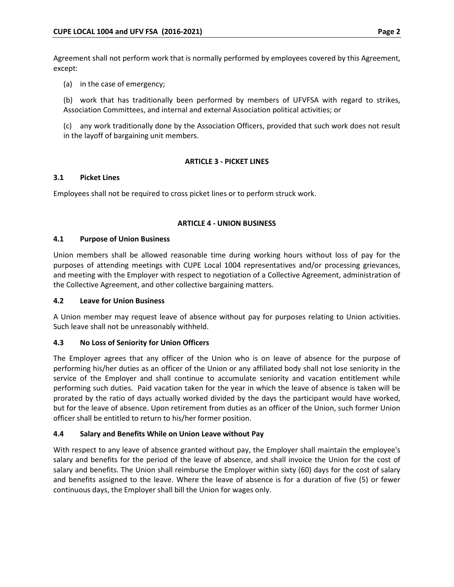Agreement shall not perform work that is normally performed by employees covered by this Agreement, except:

(a) in the case of emergency;

(b) work that has traditionally been performed by members of UFVFSA with regard to strikes, Association Committees, and internal and external Association political activities; or

(c) any work traditionally done by the Association Officers, provided that such work does not result in the layoff of bargaining unit members.

## **ARTICLE 3 - PICKET LINES**

## **3.1 Picket Lines**

Employees shall not be required to cross picket lines or to perform struck work.

# **ARTICLE 4 - UNION BUSINESS**

# **4.1 Purpose of Union Business**

Union members shall be allowed reasonable time during working hours without loss of pay for the purposes of attending meetings with CUPE Local 1004 representatives and/or processing grievances, and meeting with the Employer with respect to negotiation of a Collective Agreement, administration of the Collective Agreement, and other collective bargaining matters.

## **4.2 Leave for Union Business**

A Union member may request leave of absence without pay for purposes relating to Union activities. Such leave shall not be unreasonably withheld.

# **4.3 No Loss of Seniority for Union Officers**

The Employer agrees that any officer of the Union who is on leave of absence for the purpose of performing his/her duties as an officer of the Union or any affiliated body shall not lose seniority in the service of the Employer and shall continue to accumulate seniority and vacation entitlement while performing such duties. Paid vacation taken for the year in which the leave of absence is taken will be prorated by the ratio of days actually worked divided by the days the participant would have worked, but for the leave of absence. Upon retirement from duties as an officer of the Union, such former Union officer shall be entitled to return to his/her former position.

# **4.4 Salary and Benefits While on Union Leave without Pay**

With respect to any leave of absence granted without pay, the Employer shall maintain the employee's salary and benefits for the period of the leave of absence, and shall invoice the Union for the cost of salary and benefits. The Union shall reimburse the Employer within sixty (60) days for the cost of salary and benefits assigned to the leave. Where the leave of absence is for a duration of five (5) or fewer continuous days, the Employer shall bill the Union for wages only.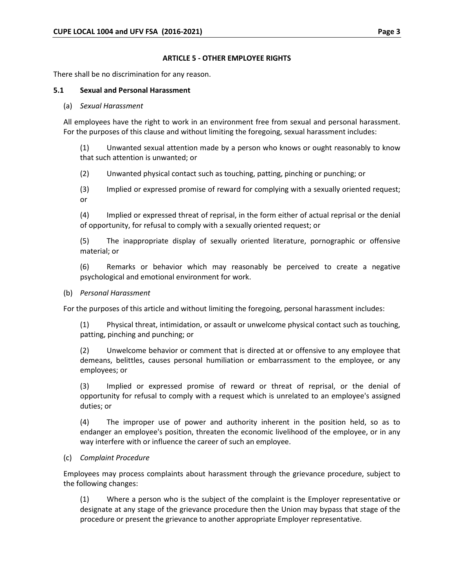#### **ARTICLE 5 - OTHER EMPLOYEE RIGHTS**

There shall be no discrimination for any reason.

#### **5.1 Sexual and Personal Harassment**

(a) *Sexual Harassment*

All employees have the right to work in an environment free from sexual and personal harassment. For the purposes of this clause and without limiting the foregoing, sexual harassment includes:

(1) Unwanted sexual attention made by a person who knows or ought reasonably to know that such attention is unwanted; or

(2) Unwanted physical contact such as touching, patting, pinching or punching; or

(3) Implied or expressed promise of reward for complying with a sexually oriented request; or

(4) Implied or expressed threat of reprisal, in the form either of actual reprisal or the denial of opportunity, for refusal to comply with a sexually oriented request; or

(5) The inappropriate display of sexually oriented literature, pornographic or offensive material; or

(6) Remarks or behavior which may reasonably be perceived to create a negative psychological and emotional environment for work.

(b) *Personal Harassment*

For the purposes of this article and without limiting the foregoing, personal harassment includes:

(1) Physical threat, intimidation, or assault or unwelcome physical contact such as touching, patting, pinching and punching; or

(2) Unwelcome behavior or comment that is directed at or offensive to any employee that demeans, belittles, causes personal humiliation or embarrassment to the employee, or any employees; or

(3) Implied or expressed promise of reward or threat of reprisal, or the denial of opportunity for refusal to comply with a request which is unrelated to an employee's assigned duties; or

(4) The improper use of power and authority inherent in the position held, so as to endanger an employee's position, threaten the economic livelihood of the employee, or in any way interfere with or influence the career of such an employee.

## (c) *Complaint Procedure*

Employees may process complaints about harassment through the grievance procedure, subject to the following changes:

(1) Where a person who is the subject of the complaint is the Employer representative or designate at any stage of the grievance procedure then the Union may bypass that stage of the procedure or present the grievance to another appropriate Employer representative.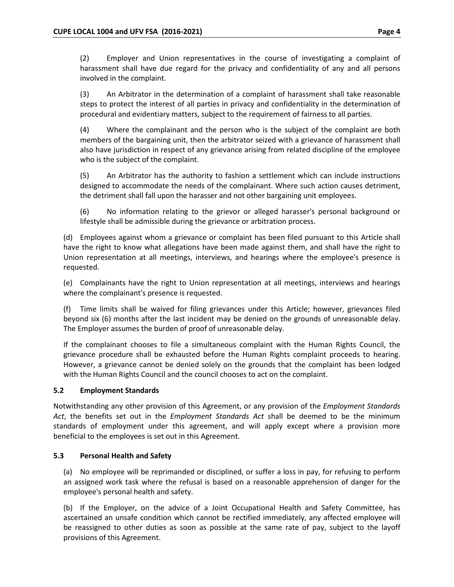(2) Employer and Union representatives in the course of investigating a complaint of harassment shall have due regard for the privacy and confidentiality of any and all persons involved in the complaint.

(3) An Arbitrator in the determination of a complaint of harassment shall take reasonable steps to protect the interest of all parties in privacy and confidentiality in the determination of procedural and evidentiary matters, subject to the requirement of fairness to all parties.

(4) Where the complainant and the person who is the subject of the complaint are both members of the bargaining unit, then the arbitrator seized with a grievance of harassment shall also have jurisdiction in respect of any grievance arising from related discipline of the employee who is the subject of the complaint.

(5) An Arbitrator has the authority to fashion a settlement which can include instructions designed to accommodate the needs of the complainant. Where such action causes detriment, the detriment shall fall upon the harasser and not other bargaining unit employees.

(6) No information relating to the grievor or alleged harasser's personal background or lifestyle shall be admissible during the grievance or arbitration process.

(d) Employees against whom a grievance or complaint has been filed pursuant to this Article shall have the right to know what allegations have been made against them, and shall have the right to Union representation at all meetings, interviews, and hearings where the employee's presence is requested.

(e) Complainants have the right to Union representation at all meetings, interviews and hearings where the complainant's presence is requested.

(f) Time limits shall be waived for filing grievances under this Article; however, grievances filed beyond six (6) months after the last incident may be denied on the grounds of unreasonable delay. The Employer assumes the burden of proof of unreasonable delay.

If the complainant chooses to file a simultaneous complaint with the Human Rights Council, the grievance procedure shall be exhausted before the Human Rights complaint proceeds to hearing. However, a grievance cannot be denied solely on the grounds that the complaint has been lodged with the Human Rights Council and the council chooses to act on the complaint.

# **5.2 Employment Standards**

Notwithstanding any other provision of this Agreement, or any provision of the *Employment Standards Act*, the benefits set out in the *Employment Standards Act* shall be deemed to be the minimum standards of employment under this agreement, and will apply except where a provision more beneficial to the employees is set out in this Agreement.

## **5.3 Personal Health and Safety**

(a) No employee will be reprimanded or disciplined, or suffer a loss in pay, for refusing to perform an assigned work task where the refusal is based on a reasonable apprehension of danger for the employee's personal health and safety.

(b) If the Employer, on the advice of a Joint Occupational Health and Safety Committee, has ascertained an unsafe condition which cannot be rectified immediately, any affected employee will be reassigned to other duties as soon as possible at the same rate of pay, subject to the layoff provisions of this Agreement.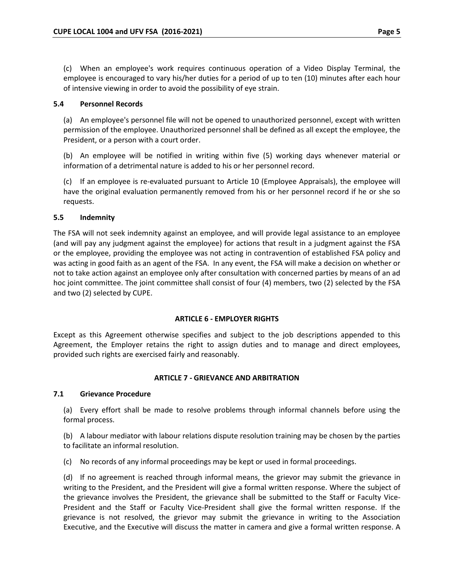(c) When an employee's work requires continuous operation of a Video Display Terminal, the employee is encouraged to vary his/her duties for a period of up to ten (10) minutes after each hour of intensive viewing in order to avoid the possibility of eye strain.

# **5.4 Personnel Records**

(a) An employee's personnel file will not be opened to unauthorized personnel, except with written permission of the employee. Unauthorized personnel shall be defined as all except the employee, the President, or a person with a court order.

(b) An employee will be notified in writing within five (5) working days whenever material or information of a detrimental nature is added to his or her personnel record.

(c) If an employee is re-evaluated pursuant to Article 10 (Employee Appraisals), the employee will have the original evaluation permanently removed from his or her personnel record if he or she so requests.

# **5.5 Indemnity**

The FSA will not seek indemnity against an employee, and will provide legal assistance to an employee (and will pay any judgment against the employee) for actions that result in a judgment against the FSA or the employee, providing the employee was not acting in contravention of established FSA policy and was acting in good faith as an agent of the FSA. In any event, the FSA will make a decision on whether or not to take action against an employee only after consultation with concerned parties by means of an ad hoc joint committee. The joint committee shall consist of four (4) members, two (2) selected by the FSA and two (2) selected by CUPE.

## **ARTICLE 6 - EMPLOYER RIGHTS**

Except as this Agreement otherwise specifies and subject to the job descriptions appended to this Agreement, the Employer retains the right to assign duties and to manage and direct employees, provided such rights are exercised fairly and reasonably.

## **ARTICLE 7 - GRIEVANCE AND ARBITRATION**

## **7.1 Grievance Procedure**

(a) Every effort shall be made to resolve problems through informal channels before using the formal process.

(b) A labour mediator with labour relations dispute resolution training may be chosen by the parties to facilitate an informal resolution.

(c) No records of any informal proceedings may be kept or used in formal proceedings.

(d) If no agreement is reached through informal means, the grievor may submit the grievance in writing to the President, and the President will give a formal written response. Where the subject of the grievance involves the President, the grievance shall be submitted to the Staff or Faculty Vice-President and the Staff or Faculty Vice-President shall give the formal written response. If the grievance is not resolved, the grievor may submit the grievance in writing to the Association Executive, and the Executive will discuss the matter in camera and give a formal written response. A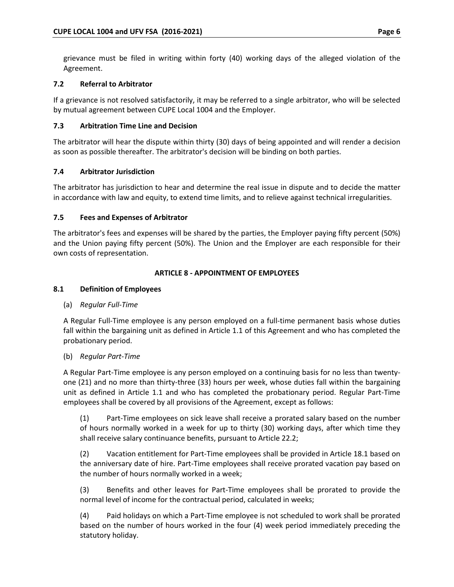grievance must be filed in writing within forty (40) working days of the alleged violation of the Agreement.

# **7.2 Referral to Arbitrator**

If a grievance is not resolved satisfactorily, it may be referred to a single arbitrator, who will be selected by mutual agreement between CUPE Local 1004 and the Employer.

# **7.3 Arbitration Time Line and Decision**

The arbitrator will hear the dispute within thirty (30) days of being appointed and will render a decision as soon as possible thereafter. The arbitrator's decision will be binding on both parties.

# **7.4 Arbitrator Jurisdiction**

The arbitrator has jurisdiction to hear and determine the real issue in dispute and to decide the matter in accordance with law and equity, to extend time limits, and to relieve against technical irregularities.

# **7.5 Fees and Expenses of Arbitrator**

The arbitrator's fees and expenses will be shared by the parties, the Employer paying fifty percent (50%) and the Union paying fifty percent (50%). The Union and the Employer are each responsible for their own costs of representation.

# **ARTICLE 8 - APPOINTMENT OF EMPLOYEES**

# **8.1 Definition of Employees**

# (a) *Regular Full-Time*

A Regular Full-Time employee is any person employed on a full-time permanent basis whose duties fall within the bargaining unit as defined in Article 1.1 of this Agreement and who has completed the probationary period.

# (b) *Regular Part-Time*

A Regular Part-Time employee is any person employed on a continuing basis for no less than twentyone (21) and no more than thirty-three (33) hours per week, whose duties fall within the bargaining unit as defined in Article 1.1 and who has completed the probationary period. Regular Part-Time employees shall be covered by all provisions of the Agreement, except as follows:

(1) Part-Time employees on sick leave shall receive a prorated salary based on the number of hours normally worked in a week for up to thirty (30) working days, after which time they shall receive salary continuance benefits, pursuant to Article 22.2;

(2) Vacation entitlement for Part-Time employees shall be provided in Article 18.1 based on the anniversary date of hire. Part-Time employees shall receive prorated vacation pay based on the number of hours normally worked in a week;

(3) Benefits and other leaves for Part-Time employees shall be prorated to provide the normal level of income for the contractual period, calculated in weeks;

(4) Paid holidays on which a Part-Time employee is not scheduled to work shall be prorated based on the number of hours worked in the four (4) week period immediately preceding the statutory holiday.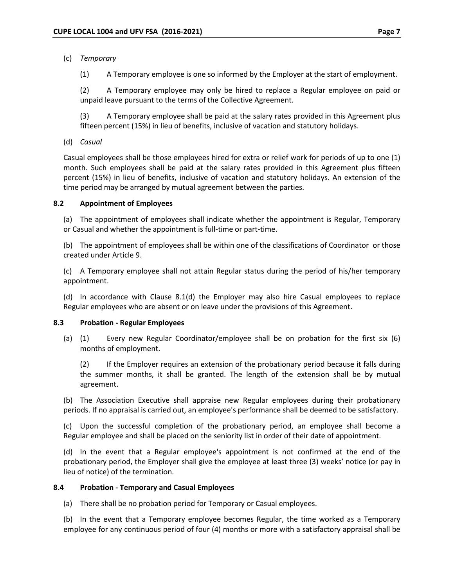# (c) *Temporary*

(1) A Temporary employee is one so informed by the Employer at the start of employment.

(2) A Temporary employee may only be hired to replace a Regular employee on paid or unpaid leave pursuant to the terms of the Collective Agreement.

(3) A Temporary employee shall be paid at the salary rates provided in this Agreement plus fifteen percent (15%) in lieu of benefits, inclusive of vacation and statutory holidays.

(d) *Casual*

Casual employees shall be those employees hired for extra or relief work for periods of up to one (1) month. Such employees shall be paid at the salary rates provided in this Agreement plus fifteen percent (15%) in lieu of benefits, inclusive of vacation and statutory holidays. An extension of the time period may be arranged by mutual agreement between the parties.

## **8.2 Appointment of Employees**

(a) The appointment of employees shall indicate whether the appointment is Regular, Temporary or Casual and whether the appointment is full-time or part-time.

(b) The appointment of employees shall be within one of the classifications of Coordinator or those created under Article 9.

(c) A Temporary employee shall not attain Regular status during the period of his/her temporary appointment.

(d) In accordance with Clause 8.1(d) the Employer may also hire Casual employees to replace Regular employees who are absent or on leave under the provisions of this Agreement.

## **8.3 Probation - Regular Employees**

(a) (1) Every new Regular Coordinator/employee shall be on probation for the first six (6) months of employment.

(2) If the Employer requires an extension of the probationary period because it falls during the summer months, it shall be granted. The length of the extension shall be by mutual agreement.

(b) The Association Executive shall appraise new Regular employees during their probationary periods. If no appraisal is carried out, an employee's performance shall be deemed to be satisfactory.

(c) Upon the successful completion of the probationary period, an employee shall become a Regular employee and shall be placed on the seniority list in order of their date of appointment.

(d) In the event that a Regular employee's appointment is not confirmed at the end of the probationary period, the Employer shall give the employee at least three (3) weeks' notice (or pay in lieu of notice) of the termination.

## **8.4 Probation - Temporary and Casual Employees**

(a) There shall be no probation period for Temporary or Casual employees.

(b) In the event that a Temporary employee becomes Regular, the time worked as a Temporary employee for any continuous period of four (4) months or more with a satisfactory appraisal shall be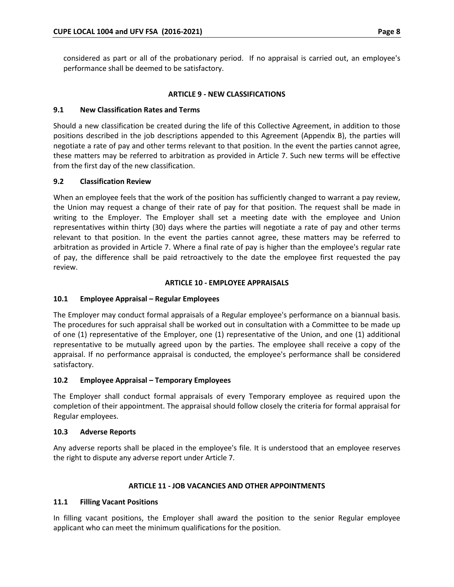considered as part or all of the probationary period. If no appraisal is carried out, an employee's performance shall be deemed to be satisfactory.

## **ARTICLE 9 - NEW CLASSIFICATIONS**

# **9.1 New Classification Rates and Terms**

Should a new classification be created during the life of this Collective Agreement, in addition to those positions described in the job descriptions appended to this Agreement (Appendix B), the parties will negotiate a rate of pay and other terms relevant to that position. In the event the parties cannot agree, these matters may be referred to arbitration as provided in Article 7. Such new terms will be effective from the first day of the new classification.

# **9.2 Classification Review**

When an employee feels that the work of the position has sufficiently changed to warrant a pay review, the Union may request a change of their rate of pay for that position. The request shall be made in writing to the Employer. The Employer shall set a meeting date with the employee and Union representatives within thirty (30) days where the parties will negotiate a rate of pay and other terms relevant to that position. In the event the parties cannot agree, these matters may be referred to arbitration as provided in Article 7. Where a final rate of pay is higher than the employee's regular rate of pay, the difference shall be paid retroactively to the date the employee first requested the pay review.

# **ARTICLE 10 - EMPLOYEE APPRAISALS**

# **10.1 Employee Appraisal – Regular Employees**

The Employer may conduct formal appraisals of a Regular employee's performance on a biannual basis. The procedures for such appraisal shall be worked out in consultation with a Committee to be made up of one (1) representative of the Employer, one (1) representative of the Union, and one (1) additional representative to be mutually agreed upon by the parties. The employee shall receive a copy of the appraisal. If no performance appraisal is conducted, the employee's performance shall be considered satisfactory.

## **10.2 Employee Appraisal – Temporary Employees**

The Employer shall conduct formal appraisals of every Temporary employee as required upon the completion of their appointment. The appraisal should follow closely the criteria for formal appraisal for Regular employees.

## **10.3 Adverse Reports**

Any adverse reports shall be placed in the employee's file. It is understood that an employee reserves the right to dispute any adverse report under Article 7.

## **ARTICLE 11 - JOB VACANCIES AND OTHER APPOINTMENTS**

## **11.1 Filling Vacant Positions**

In filling vacant positions, the Employer shall award the position to the senior Regular employee applicant who can meet the minimum qualifications for the position.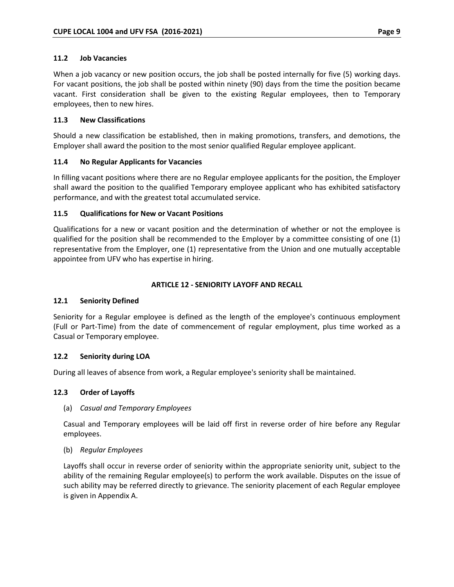When a job vacancy or new position occurs, the job shall be posted internally for five (5) working days. For vacant positions, the job shall be posted within ninety (90) days from the time the position became vacant. First consideration shall be given to the existing Regular employees, then to Temporary employees, then to new hires.

# **11.3 New Classifications**

Should a new classification be established, then in making promotions, transfers, and demotions, the Employer shall award the position to the most senior qualified Regular employee applicant.

# **11.4 No Regular Applicants for Vacancies**

In filling vacant positions where there are no Regular employee applicants for the position, the Employer shall award the position to the qualified Temporary employee applicant who has exhibited satisfactory performance, and with the greatest total accumulated service.

# **11.5 Qualifications for New or Vacant Positions**

Qualifications for a new or vacant position and the determination of whether or not the employee is qualified for the position shall be recommended to the Employer by a committee consisting of one (1) representative from the Employer, one (1) representative from the Union and one mutually acceptable appointee from UFV who has expertise in hiring.

# **ARTICLE 12 - SENIORITY LAYOFF AND RECALL**

## **12.1 Seniority Defined**

Seniority for a Regular employee is defined as the length of the employee's continuous employment (Full or Part-Time) from the date of commencement of regular employment, plus time worked as a Casual or Temporary employee.

# **12.2 Seniority during LOA**

During all leaves of absence from work, a Regular employee's seniority shall be maintained.

## **12.3 Order of Layoffs**

## (a) *Casual and Temporary Employees*

Casual and Temporary employees will be laid off first in reverse order of hire before any Regular employees.

## (b) *Regular Employees*

Layoffs shall occur in reverse order of seniority within the appropriate seniority unit, subject to the ability of the remaining Regular employee(s) to perform the work available. Disputes on the issue of such ability may be referred directly to grievance. The seniority placement of each Regular employee is given in Appendix A.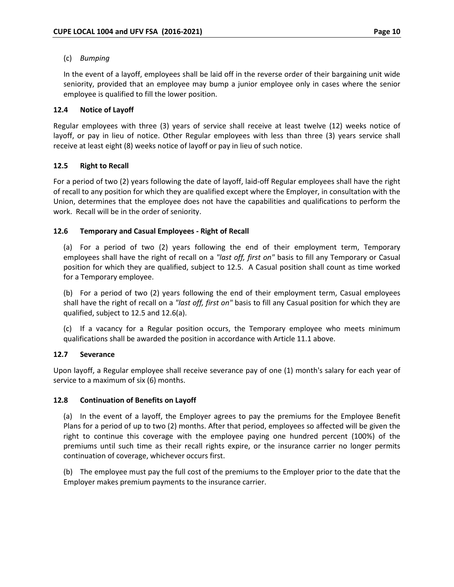## (c) *Bumping*

In the event of a layoff, employees shall be laid off in the reverse order of their bargaining unit wide seniority, provided that an employee may bump a junior employee only in cases where the senior employee is qualified to fill the lower position.

## **12.4 Notice of Layoff**

Regular employees with three (3) years of service shall receive at least twelve (12) weeks notice of layoff, or pay in lieu of notice. Other Regular employees with less than three (3) years service shall receive at least eight (8) weeks notice of layoff or pay in lieu of such notice.

# **12.5 Right to Recall**

For a period of two (2) years following the date of layoff, laid-off Regular employees shall have the right of recall to any position for which they are qualified except where the Employer, in consultation with the Union, determines that the employee does not have the capabilities and qualifications to perform the work. Recall will be in the order of seniority.

## **12.6 Temporary and Casual Employees - Right of Recall**

(a) For a period of two (2) years following the end of their employment term, Temporary employees shall have the right of recall on a *"last off, first on"* basis to fill any Temporary or Casual position for which they are qualified, subject to 12.5. A Casual position shall count as time worked for a Temporary employee.

(b) For a period of two (2) years following the end of their employment term, Casual employees shall have the right of recall on a *"last off, first on"* basis to fill any Casual position for which they are qualified, subject to 12.5 and 12.6(a).

(c) If a vacancy for a Regular position occurs, the Temporary employee who meets minimum qualifications shall be awarded the position in accordance with Article 11.1 above.

## **12.7 Severance**

Upon layoff, a Regular employee shall receive severance pay of one (1) month's salary for each year of service to a maximum of six (6) months.

## **12.8 Continuation of Benefits on Layoff**

(a) In the event of a layoff, the Employer agrees to pay the premiums for the Employee Benefit Plans for a period of up to two (2) months. After that period, employees so affected will be given the right to continue this coverage with the employee paying one hundred percent (100%) of the premiums until such time as their recall rights expire, or the insurance carrier no longer permits continuation of coverage, whichever occurs first.

(b) The employee must pay the full cost of the premiums to the Employer prior to the date that the Employer makes premium payments to the insurance carrier.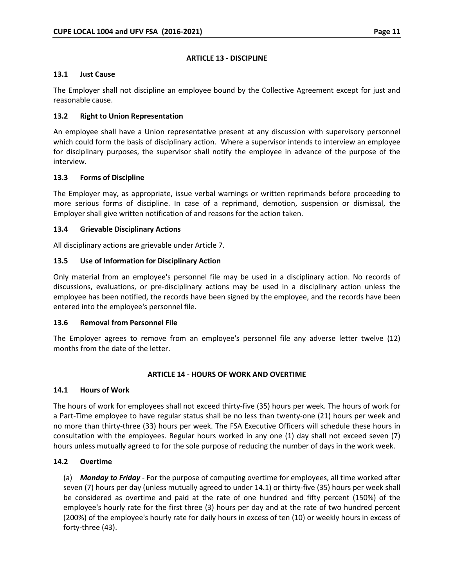# **ARTICLE 13 - DISCIPLINE**

## **13.1 Just Cause**

The Employer shall not discipline an employee bound by the Collective Agreement except for just and reasonable cause.

# **13.2 Right to Union Representation**

An employee shall have a Union representative present at any discussion with supervisory personnel which could form the basis of disciplinary action. Where a supervisor intends to interview an employee for disciplinary purposes, the supervisor shall notify the employee in advance of the purpose of the interview.

## **13.3 Forms of Discipline**

The Employer may, as appropriate, issue verbal warnings or written reprimands before proceeding to more serious forms of discipline. In case of a reprimand, demotion, suspension or dismissal, the Employer shall give written notification of and reasons for the action taken.

# **13.4 Grievable Disciplinary Actions**

All disciplinary actions are grievable under Article 7.

# **13.5 Use of Information for Disciplinary Action**

Only material from an employee's personnel file may be used in a disciplinary action. No records of discussions, evaluations, or pre-disciplinary actions may be used in a disciplinary action unless the employee has been notified, the records have been signed by the employee, and the records have been entered into the employee's personnel file.

## **13.6 Removal from Personnel File**

The Employer agrees to remove from an employee's personnel file any adverse letter twelve (12) months from the date of the letter.

## **ARTICLE 14 - HOURS OF WORK AND OVERTIME**

## **14.1 Hours of Work**

The hours of work for employees shall not exceed thirty-five (35) hours per week. The hours of work for a Part-Time employee to have regular status shall be no less than twenty-one (21) hours per week and no more than thirty-three (33) hours per week. The FSA Executive Officers will schedule these hours in consultation with the employees. Regular hours worked in any one (1) day shall not exceed seven (7) hours unless mutually agreed to for the sole purpose of reducing the number of days in the work week.

# **14.2 Overtime**

(a) *Monday to Friday* - For the purpose of computing overtime for employees, all time worked after seven (7) hours per day (unless mutually agreed to under 14.1) or thirty-five (35) hours per week shall be considered as overtime and paid at the rate of one hundred and fifty percent (150%) of the employee's hourly rate for the first three (3) hours per day and at the rate of two hundred percent (200%) of the employee's hourly rate for daily hours in excess of ten (10) or weekly hours in excess of forty-three (43).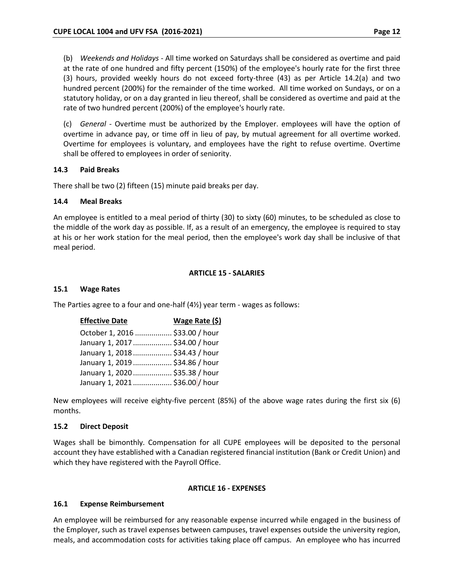(b) *Weekends and Holidays* - All time worked on Saturdays shall be considered as overtime and paid at the rate of one hundred and fifty percent (150%) of the employee's hourly rate for the first three (3) hours, provided weekly hours do not exceed forty-three (43) as per Article 14.2(a) and two hundred percent (200%) for the remainder of the time worked. All time worked on Sundays, or on a statutory holiday, or on a day granted in lieu thereof, shall be considered as overtime and paid at the rate of two hundred percent (200%) of the employee's hourly rate.

(c) *General* - Overtime must be authorized by the Employer. employees will have the option of overtime in advance pay, or time off in lieu of pay, by mutual agreement for all overtime worked. Overtime for employees is voluntary, and employees have the right to refuse overtime. Overtime shall be offered to employees in order of seniority.

#### **14.3 Paid Breaks**

There shall be two (2) fifteen (15) minute paid breaks per day.

#### **14.4 Meal Breaks**

An employee is entitled to a meal period of thirty (30) to sixty (60) minutes, to be scheduled as close to the middle of the work day as possible. If, as a result of an emergency, the employee is required to stay at his or her work station for the meal period, then the employee's work day shall be inclusive of that meal period.

#### **ARTICLE 15 - SALARIES**

#### **15.1 Wage Rates**

The Parties agree to a four and one-half (4½) year term - wages as follows:

| <b>Effective Date</b>           | Wage Rate (\$) |
|---------------------------------|----------------|
| October 1, 2016  \$33.00 / hour |                |
| January 1, 2017  \$34.00 / hour |                |
| January 1, 2018  \$34.43 / hour |                |
| January 1, 2019  \$34.86 / hour |                |
| January 1, 2020  \$35.38 / hour |                |
| January 1, 2021  \$36.00 / hour |                |

New employees will receive eighty-five percent (85%) of the above wage rates during the first six (6) months.

## **15.2 Direct Deposit**

Wages shall be bimonthly. Compensation for all CUPE employees will be deposited to the personal account they have established with a Canadian registered financial institution (Bank or Credit Union) and which they have registered with the Payroll Office.

#### **ARTICLE 16 - EXPENSES**

#### **16.1 Expense Reimbursement**

An employee will be reimbursed for any reasonable expense incurred while engaged in the business of the Employer, such as travel expenses between campuses, travel expenses outside the university region, meals, and accommodation costs for activities taking place off campus. An employee who has incurred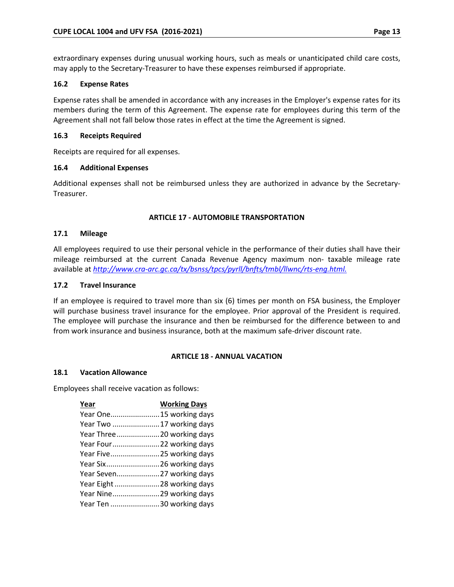extraordinary expenses during unusual working hours, such as meals or unanticipated child care costs, may apply to the Secretary-Treasurer to have these expenses reimbursed if appropriate.

## **16.2 Expense Rates**

Expense rates shall be amended in accordance with any increases in the Employer's expense rates for its members during the term of this Agreement. The expense rate for employees during this term of the Agreement shall not fall below those rates in effect at the time the Agreement is signed.

## **16.3 Receipts Required**

Receipts are required for all expenses.

# **16.4 Additional Expenses**

Additional expenses shall not be reimbursed unless they are authorized in advance by the Secretary-Treasurer.

# **ARTICLE 17 - AUTOMOBILE TRANSPORTATION**

## **17.1 Mileage**

All employees required to use their personal vehicle in the performance of their duties shall have their mileage reimbursed at the current Canada Revenue Agency maximum non- taxable mileage rate available at *<http://www.cra-arc.gc.ca/tx/bsnss/tpcs/pyrll/bnfts/tmbl/llwnc/rts-eng.html.>*

## **17.2 Travel Insurance**

If an employee is required to travel more than six (6) times per month on FSA business, the Employer will purchase business travel insurance for the employee. Prior approval of the President is required. The employee will purchase the insurance and then be reimbursed for the difference between to and from work insurance and business insurance, both at the maximum safe-driver discount rate.

## **ARTICLE 18 - ANNUAL VACATION**

## **18.1 Vacation Allowance**

Employees shall receive vacation as follows:

| Year                       | <b>Working Days</b> |
|----------------------------|---------------------|
| Year One15 working days    |                     |
| Year Two 17 working days   |                     |
| Year Three20 working days  |                     |
| Year Four22 working days   |                     |
| Year Five25 working days   |                     |
| Year Six26 working days    |                     |
| Year Seven27 working days  |                     |
| Year Eight 28 working days |                     |
| Year Nine29 working days   |                     |
| Year Ten 30 working days   |                     |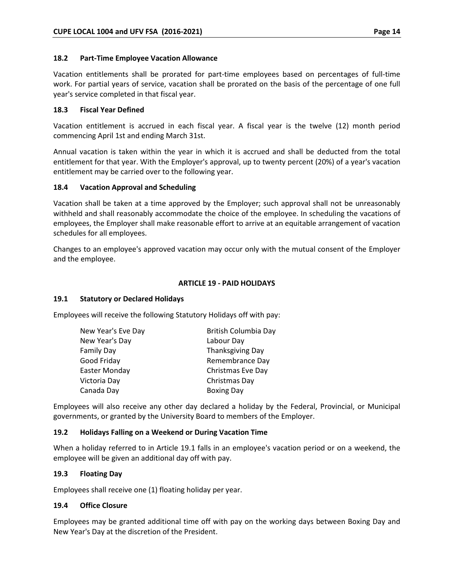## **18.2 Part-Time Employee Vacation Allowance**

Vacation entitlements shall be prorated for part-time employees based on percentages of full-time work. For partial years of service, vacation shall be prorated on the basis of the percentage of one full year's service completed in that fiscal year.

# **18.3 Fiscal Year Defined**

Vacation entitlement is accrued in each fiscal year. A fiscal year is the twelve (12) month period commencing April 1st and ending March 31st.

Annual vacation is taken within the year in which it is accrued and shall be deducted from the total entitlement for that year. With the Employer's approval, up to twenty percent (20%) of a year's vacation entitlement may be carried over to the following year.

# **18.4 Vacation Approval and Scheduling**

Vacation shall be taken at a time approved by the Employer; such approval shall not be unreasonably withheld and shall reasonably accommodate the choice of the employee. In scheduling the vacations of employees, the Employer shall make reasonable effort to arrive at an equitable arrangement of vacation schedules for all employees.

Changes to an employee's approved vacation may occur only with the mutual consent of the Employer and the employee.

# **ARTICLE 19 - PAID HOLIDAYS**

## **19.1 Statutory or Declared Holidays**

Employees will receive the following Statutory Holidays off with pay:

| New Year's Eve Day | British Columbia Day |  |
|--------------------|----------------------|--|
| New Year's Day     | Labour Day           |  |
| Family Day         | Thanksgiving Day     |  |
| Good Friday        | Remembrance Day      |  |
| Easter Monday      | Christmas Eve Day    |  |
| Victoria Day       | Christmas Day        |  |
| Canada Day         | <b>Boxing Day</b>    |  |

Employees will also receive any other day declared a holiday by the Federal, Provincial, or Municipal governments, or granted by the University Board to members of the Employer.

## **19.2 Holidays Falling on a Weekend or During Vacation Time**

When a holiday referred to in Article 19.1 falls in an employee's vacation period or on a weekend, the employee will be given an additional day off with pay.

## **19.3 Floating Day**

Employees shall receive one (1) floating holiday per year.

# **19.4 Office Closure**

Employees may be granted additional time off with pay on the working days between Boxing Day and New Year's Day at the discretion of the President.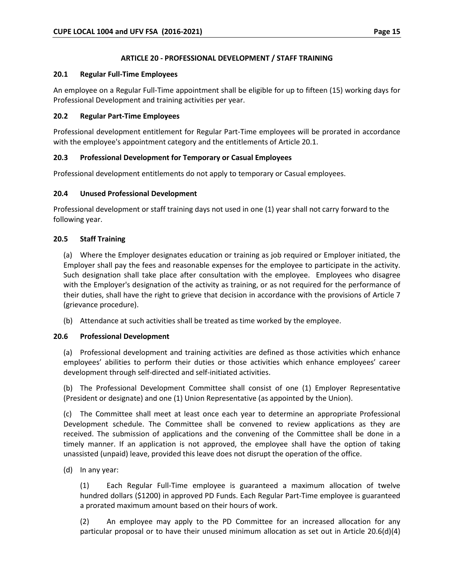## **ARTICLE 20 - PROFESSIONAL DEVELOPMENT / STAFF TRAINING**

## **20.1 Regular Full-Time Employees**

An employee on a Regular Full-Time appointment shall be eligible for up to fifteen (15) working days for Professional Development and training activities per year.

# **20.2 Regular Part-Time Employees**

Professional development entitlement for Regular Part-Time employees will be prorated in accordance with the employee's appointment category and the entitlements of Article 20.1.

# **20.3 Professional Development for Temporary or Casual Employees**

Professional development entitlements do not apply to temporary or Casual employees.

# **20.4 Unused Professional Development**

Professional development or staff training days not used in one (1) year shall not carry forward to the following year.

# **20.5 Staff Training**

(a) Where the Employer designates education or training as job required or Employer initiated, the Employer shall pay the fees and reasonable expenses for the employee to participate in the activity. Such designation shall take place after consultation with the employee. Employees who disagree with the Employer's designation of the activity as training, or as not required for the performance of their duties, shall have the right to grieve that decision in accordance with the provisions of Article 7 (grievance procedure).

(b) Attendance at such activities shall be treated as time worked by the employee.

## **20.6 Professional Development**

(a) Professional development and training activities are defined as those activities which enhance employees' abilities to perform their duties or those activities which enhance employees' career development through self-directed and self-initiated activities.

(b) The Professional Development Committee shall consist of one (1) Employer Representative (President or designate) and one (1) Union Representative (as appointed by the Union).

(c) The Committee shall meet at least once each year to determine an appropriate Professional Development schedule. The Committee shall be convened to review applications as they are received. The submission of applications and the convening of the Committee shall be done in a timely manner. If an application is not approved, the employee shall have the option of taking unassisted (unpaid) leave, provided this leave does not disrupt the operation of the office.

(d) In any year:

(1) Each Regular Full-Time employee is guaranteed a maximum allocation of twelve hundred dollars (\$1200) in approved PD Funds. Each Regular Part-Time employee is guaranteed a prorated maximum amount based on their hours of work.

(2) An employee may apply to the PD Committee for an increased allocation for any particular proposal or to have their unused minimum allocation as set out in Article 20.6(d)(4)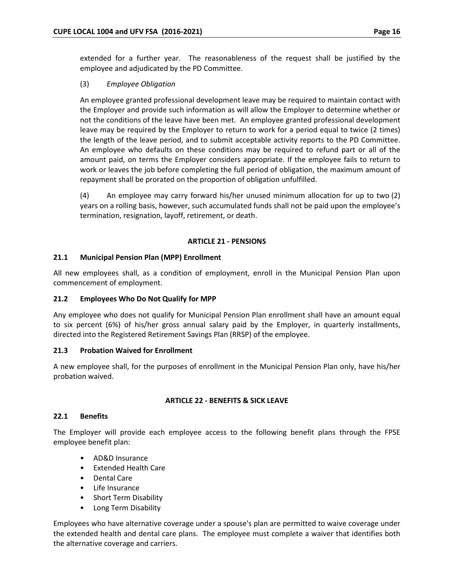extended for a further year. The reasonableness of the request shall be justified by the employee and adjudicated by the PD Committee.

## (3) *Employee Obligation*

An employee granted professional development leave may be required to maintain contact with the Employer and provide such information as will allow the Employer to determine whether or not the conditions of the leave have been met. An employee granted professional development leave may be required by the Employer to return to work for a period equal to twice (2 times) the length of the leave period, and to submit acceptable activity reports to the PD Committee. An employee who defaults on these conditions may be required to refund part or all of the amount paid, on terms the Employer considers appropriate. If the employee fails to return to work or leaves the job before completing the full period of obligation, the maximum amount of repayment shall be prorated on the proportion of obligation unfulfilled.

(4) An employee may carry forward his/her unused minimum allocation for up to two (2) years on a rolling basis, however, such accumulated funds shall not be paid upon the employee's termination, resignation, layoff, retirement, or death.

#### **ARTICLE 21 - PENSIONS**

#### **21.1 Municipal Pension Plan (MPP) Enrollment**

All new employees shall, as a condition of employment, enroll in the Municipal Pension Plan upon commencement of employment.

## **21.2 Employees Who Do Not Qualify for MPP**

Any employee who does not qualify for Municipal Pension Plan enrollment shall have an amount equal to six percent (6%) of his/her gross annual salary paid by the Employer, in quarterly installments, directed into the Registered Retirement Savings Plan (RRSP) of the employee.

#### **21.3 Probation Waived for Enrollment**

A new employee shall, for the purposes of enrollment in the Municipal Pension Plan only, have his/her probation waived.

#### **ARTICLE 22 - BENEFITS & SICK LEAVE**

#### **22.1 Benefits**

The Employer will provide each employee access to the following benefit plans through the FPSE employee benefit plan:

- AD&D Insurance
- Extended Health Care
- Dental Care
- Life Insurance
- Short Term Disability
- Long Term Disability

Employees who have alternative coverage under a spouse's plan are permitted to waive coverage under the extended health and dental care plans. The employee must complete a waiver that identifies both the alternative coverage and carriers.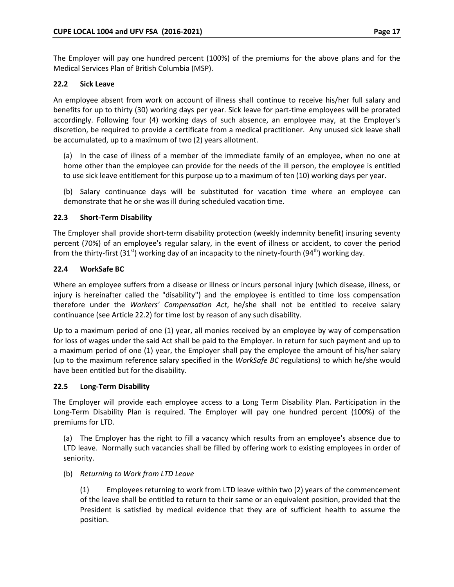The Employer will pay one hundred percent (100%) of the premiums for the above plans and for the Medical Services Plan of British Columbia (MSP).

# **22.2 Sick Leave**

An employee absent from work on account of illness shall continue to receive his/her full salary and benefits for up to thirty (30) working days per year. Sick leave for part-time employees will be prorated accordingly. Following four (4) working days of such absence, an employee may, at the Employer's discretion, be required to provide a certificate from a medical practitioner. Any unused sick leave shall be accumulated, up to a maximum of two (2) years allotment.

(a) In the case of illness of a member of the immediate family of an employee, when no one at home other than the employee can provide for the needs of the ill person, the employee is entitled to use sick leave entitlement for this purpose up to a maximum of ten (10) working days per year.

(b) Salary continuance days will be substituted for vacation time where an employee can demonstrate that he or she was ill during scheduled vacation time.

## **22.3 Short-Term Disability**

The Employer shall provide short-term disability protection (weekly indemnity benefit) insuring seventy percent (70%) of an employee's regular salary, in the event of illness or accident, to cover the period from the thirty-first  $(31<sup>st</sup>)$  working day of an incapacity to the ninety-fourth  $(94<sup>th</sup>)$  working day.

# **22.4 WorkSafe BC**

Where an employee suffers from a disease or illness or incurs personal injury (which disease, illness, or injury is hereinafter called the "disability") and the employee is entitled to time loss compensation therefore under the *Workers' Compensation Act*, he/she shall not be entitled to receive salary continuance (see Article 22.2) for time lost by reason of any such disability.

Up to a maximum period of one (1) year, all monies received by an employee by way of compensation for loss of wages under the said Act shall be paid to the Employer. In return for such payment and up to a maximum period of one (1) year, the Employer shall pay the employee the amount of his/her salary (up to the maximum reference salary specified in the *WorkSafe BC* regulations) to which he/she would have been entitled but for the disability.

## **22.5 Long-Term Disability**

The Employer will provide each employee access to a Long Term Disability Plan. Participation in the Long-Term Disability Plan is required. The Employer will pay one hundred percent (100%) of the premiums for LTD.

(a) The Employer has the right to fill a vacancy which results from an employee's absence due to LTD leave. Normally such vacancies shall be filled by offering work to existing employees in order of seniority.

## (b) *Returning to Work from LTD Leave*

(1) Employees returning to work from LTD leave within two (2) years of the commencement of the leave shall be entitled to return to their same or an equivalent position, provided that the President is satisfied by medical evidence that they are of sufficient health to assume the position.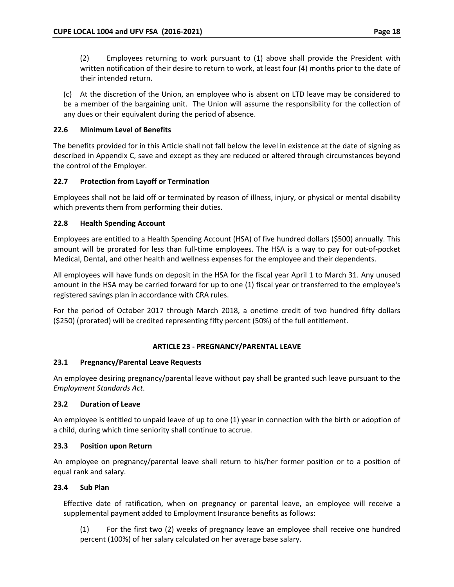(2) Employees returning to work pursuant to (1) above shall provide the President with written notification of their desire to return to work, at least four (4) months prior to the date of their intended return.

(c) At the discretion of the Union, an employee who is absent on LTD leave may be considered to be a member of the bargaining unit. The Union will assume the responsibility for the collection of any dues or their equivalent during the period of absence.

# **22.6 Minimum Level of Benefits**

The benefits provided for in this Article shall not fall below the level in existence at the date of signing as described in Appendix C, save and except as they are reduced or altered through circumstances beyond the control of the Employer.

# **22.7 Protection from Layoff or Termination**

Employees shall not be laid off or terminated by reason of illness, injury, or physical or mental disability which prevents them from performing their duties.

# **22.8 Health Spending Account**

Employees are entitled to a Health Spending Account (HSA) of five hundred dollars (\$500) annually. This amount will be prorated for less than full-time employees. The HSA is a way to pay for out-of-pocket Medical, Dental, and other health and wellness expenses for the employee and their dependents.

All employees will have funds on deposit in the HSA for the fiscal year April 1 to March 31. Any unused amount in the HSA may be carried forward for up to one (1) fiscal year or transferred to the employee's registered savings plan in accordance with CRA rules.

For the period of October 2017 through March 2018, a onetime credit of two hundred fifty dollars (\$250) (prorated) will be credited representing fifty percent (50%) of the full entitlement.

## **ARTICLE 23 - PREGNANCY/PARENTAL LEAVE**

# **23.1 Pregnancy/Parental Leave Requests**

An employee desiring pregnancy/parental leave without pay shall be granted such leave pursuant to the *Employment Standards Act*.

## **23.2 Duration of Leave**

An employee is entitled to unpaid leave of up to one (1) year in connection with the birth or adoption of a child, during which time seniority shall continue to accrue.

## **23.3 Position upon Return**

An employee on pregnancy/parental leave shall return to his/her former position or to a position of equal rank and salary.

## **23.4 Sub Plan**

Effective date of ratification, when on pregnancy or parental leave, an employee will receive a supplemental payment added to Employment Insurance benefits as follows:

(1) For the first two (2) weeks of pregnancy leave an employee shall receive one hundred percent (100%) of her salary calculated on her average base salary.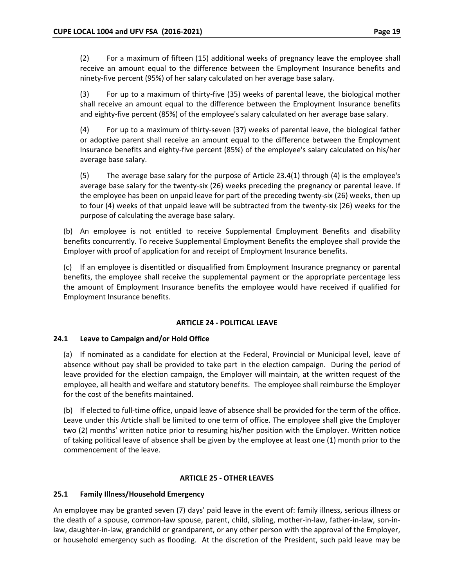(2) For a maximum of fifteen (15) additional weeks of pregnancy leave the employee shall receive an amount equal to the difference between the Employment Insurance benefits and ninety-five percent (95%) of her salary calculated on her average base salary.

(3) For up to a maximum of thirty-five (35) weeks of parental leave, the biological mother shall receive an amount equal to the difference between the Employment Insurance benefits and eighty-five percent (85%) of the employee's salary calculated on her average base salary.

(4) For up to a maximum of thirty-seven (37) weeks of parental leave, the biological father or adoptive parent shall receive an amount equal to the difference between the Employment Insurance benefits and eighty-five percent (85%) of the employee's salary calculated on his/her average base salary.

(5) The average base salary for the purpose of Article 23.4(1) through (4) is the employee's average base salary for the twenty-six (26) weeks preceding the pregnancy or parental leave. If the employee has been on unpaid leave for part of the preceding twenty-six (26) weeks, then up to four (4) weeks of that unpaid leave will be subtracted from the twenty-six (26) weeks for the purpose of calculating the average base salary.

(b) An employee is not entitled to receive Supplemental Employment Benefits and disability benefits concurrently. To receive Supplemental Employment Benefits the employee shall provide the Employer with proof of application for and receipt of Employment Insurance benefits.

(c) If an employee is disentitled or disqualified from Employment Insurance pregnancy or parental benefits, the employee shall receive the supplemental payment or the appropriate percentage less the amount of Employment Insurance benefits the employee would have received if qualified for Employment Insurance benefits.

## **ARTICLE 24 - POLITICAL LEAVE**

## **24.1 Leave to Campaign and/or Hold Office**

(a) If nominated as a candidate for election at the Federal, Provincial or Municipal level, leave of absence without pay shall be provided to take part in the election campaign. During the period of leave provided for the election campaign, the Employer will maintain, at the written request of the employee, all health and welfare and statutory benefits. The employee shall reimburse the Employer for the cost of the benefits maintained.

(b) If elected to full-time office, unpaid leave of absence shall be provided for the term of the office. Leave under this Article shall be limited to one term of office. The employee shall give the Employer two (2) months' written notice prior to resuming his/her position with the Employer. Written notice of taking political leave of absence shall be given by the employee at least one (1) month prior to the commencement of the leave.

## **ARTICLE 25 - OTHER LEAVES**

## **25.1 Family Illness/Household Emergency**

An employee may be granted seven (7) days' paid leave in the event of: family illness, serious illness or the death of a spouse, common-law spouse, parent, child, sibling, mother-in-law, father-in-law, son-inlaw, daughter-in-law, grandchild or grandparent, or any other person with the approval of the Employer, or household emergency such as flooding. At the discretion of the President, such paid leave may be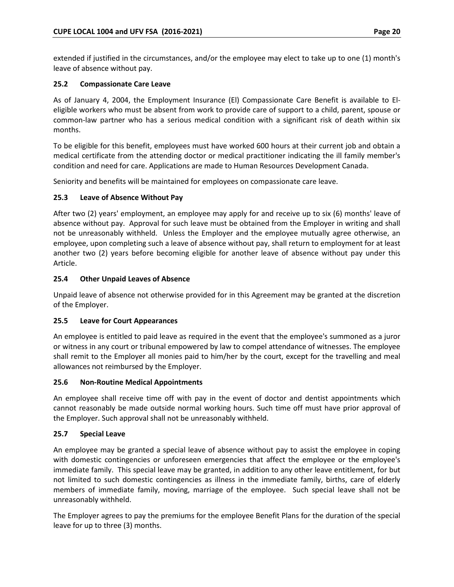extended if justified in the circumstances, and/or the employee may elect to take up to one (1) month's leave of absence without pay.

## **25.2 Compassionate Care Leave**

As of January 4, 2004, the Employment Insurance (El) Compassionate Care Benefit is available to Eleligible workers who must be absent from work to provide care of support to a child, parent, spouse or common-law partner who has a serious medical condition with a significant risk of death within six months.

To be eligible for this benefit, employees must have worked 600 hours at their current job and obtain a medical certificate from the attending doctor or medical practitioner indicating the ill family member's condition and need for care. Applications are made to Human Resources Development Canada.

Seniority and benefits will be maintained for employees on compassionate care leave.

# **25.3 Leave of Absence Without Pay**

After two (2) years' employment, an employee may apply for and receive up to six (6) months' leave of absence without pay. Approval for such leave must be obtained from the Employer in writing and shall not be unreasonably withheld. Unless the Employer and the employee mutually agree otherwise, an employee, upon completing such a leave of absence without pay, shall return to employment for at least another two (2) years before becoming eligible for another leave of absence without pay under this Article.

# **25.4 Other Unpaid Leaves of Absence**

Unpaid leave of absence not otherwise provided for in this Agreement may be granted at the discretion of the Employer.

## **25.5 Leave for Court Appearances**

An employee is entitled to paid leave as required in the event that the employee's summoned as a juror or witness in any court or tribunal empowered by law to compel attendance of witnesses. The employee shall remit to the Employer all monies paid to him/her by the court, except for the travelling and meal allowances not reimbursed by the Employer.

## **25.6 Non-Routine Medical Appointments**

An employee shall receive time off with pay in the event of doctor and dentist appointments which cannot reasonably be made outside normal working hours. Such time off must have prior approval of the Employer. Such approval shall not be unreasonably withheld.

## **25.7 Special Leave**

An employee may be granted a special leave of absence without pay to assist the employee in coping with domestic contingencies or unforeseen emergencies that affect the employee or the employee's immediate family. This special leave may be granted, in addition to any other leave entitlement, for but not limited to such domestic contingencies as illness in the immediate family, births, care of elderly members of immediate family, moving, marriage of the employee. Such special leave shall not be unreasonably withheld.

The Employer agrees to pay the premiums for the employee Benefit Plans for the duration of the special leave for up to three (3) months.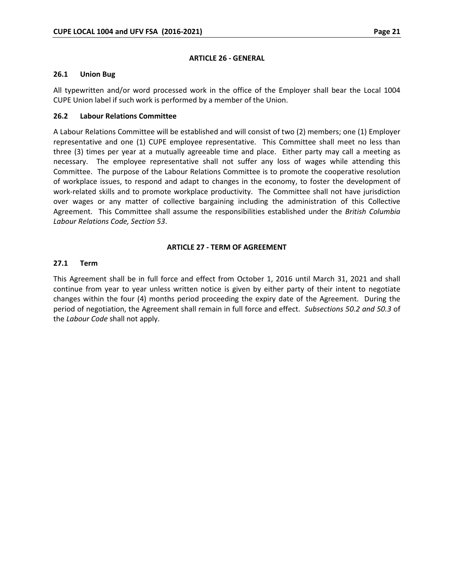#### **ARTICLE 26 - GENERAL**

#### **26.1 Union Bug**

All typewritten and/or word processed work in the office of the Employer shall bear the Local 1004 CUPE Union label if such work is performed by a member of the Union.

#### **26.2 Labour Relations Committee**

A Labour Relations Committee will be established and will consist of two (2) members; one (1) Employer representative and one (1) CUPE employee representative. This Committee shall meet no less than three (3) times per year at a mutually agreeable time and place. Either party may call a meeting as necessary. The employee representative shall not suffer any loss of wages while attending this Committee. The purpose of the Labour Relations Committee is to promote the cooperative resolution of workplace issues, to respond and adapt to changes in the economy, to foster the development of work-related skills and to promote workplace productivity. The Committee shall not have jurisdiction over wages or any matter of collective bargaining including the administration of this Collective Agreement. This Committee shall assume the responsibilities established under the *British Columbia Labour Relations Code, Section 53*.

#### **ARTICLE 27 - TERM OF AGREEMENT**

#### **27.1 Term**

This Agreement shall be in full force and effect from October 1, 2016 until March 31, 2021 and shall continue from year to year unless written notice is given by either party of their intent to negotiate changes within the four (4) months period proceeding the expiry date of the Agreement. During the period of negotiation, the Agreement shall remain in full force and effect. *Subsections 50.2 and 50.3* of the *Labour Code* shall not apply.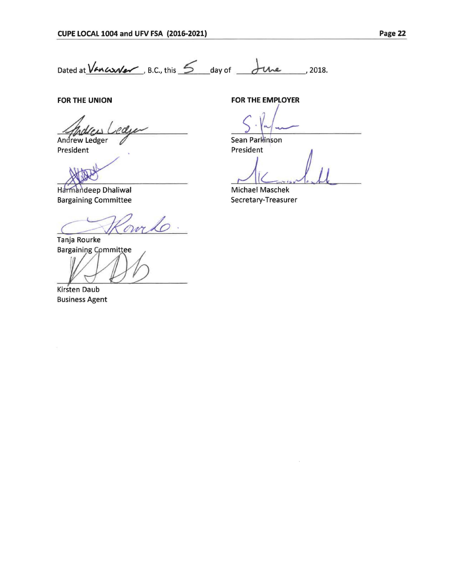Dated at  $\sqrt{A}$   $\sim$   $\sqrt{B}$ .C., this  $\leq$  day of  $\frac{1}{2}$   $\sim$   $\sim$  2018.

**FOR THE UNION** 

odu Andrew Ledger

President

Harmandeep Dhaliwal Bargaining Committee

omto

Tanja Rourke **Bargaining Committee** 

Kirsten Daub

Business Agent

**FOR THE EMPLOYER** 

Sean Parkinson<br>President<br>*J J* 

Sean Parkinson<br>President

-

<sup>~</sup>*.* ,11 Michael Maschek Secretary-Treasurer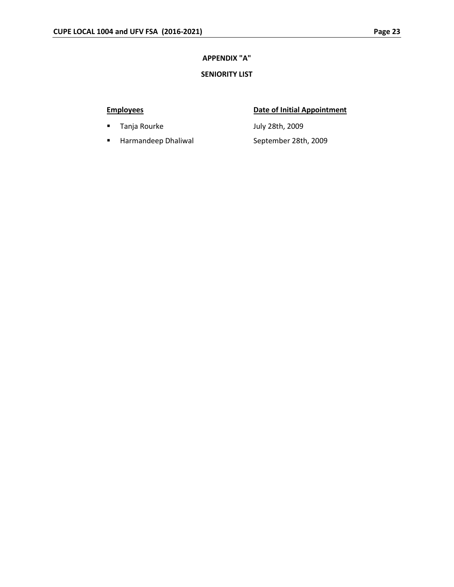# **APPENDIX "A"**

# **SENIORITY LIST**

- **Tanja Rourke Manufals 2009** July 28th, 2009
- Harmandeep Dhaliwal September 28th, 2009

# **Employees Date of Initial Appointment**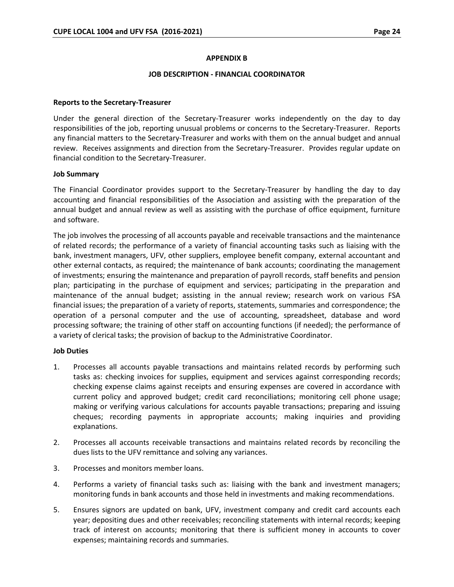#### **APPENDIX B**

#### **JOB DESCRIPTION - FINANCIAL COORDINATOR**

#### **Reports to the Secretary-Treasurer**

Under the general direction of the Secretary-Treasurer works independently on the day to day responsibilities of the job, reporting unusual problems or concerns to the Secretary-Treasurer. Reports any financial matters to the Secretary-Treasurer and works with them on the annual budget and annual review. Receives assignments and direction from the Secretary-Treasurer. Provides regular update on financial condition to the Secretary-Treasurer.

#### **Job Summary**

The Financial Coordinator provides support to the Secretary-Treasurer by handling the day to day accounting and financial responsibilities of the Association and assisting with the preparation of the annual budget and annual review as well as assisting with the purchase of office equipment, furniture and software.

The job involves the processing of all accounts payable and receivable transactions and the maintenance of related records; the performance of a variety of financial accounting tasks such as liaising with the bank, investment managers, UFV, other suppliers, employee benefit company, external accountant and other external contacts, as required; the maintenance of bank accounts; coordinating the management of investments; ensuring the maintenance and preparation of payroll records, staff benefits and pension plan; participating in the purchase of equipment and services; participating in the preparation and maintenance of the annual budget; assisting in the annual review; research work on various FSA financial issues; the preparation of a variety of reports, statements, summaries and correspondence; the operation of a personal computer and the use of accounting, spreadsheet, database and word processing software; the training of other staff on accounting functions (if needed); the performance of a variety of clerical tasks; the provision of backup to the Administrative Coordinator.

#### **Job Duties**

- 1. Processes all accounts payable transactions and maintains related records by performing such tasks as: checking invoices for supplies, equipment and services against corresponding records; checking expense claims against receipts and ensuring expenses are covered in accordance with current policy and approved budget; credit card reconciliations; monitoring cell phone usage; making or verifying various calculations for accounts payable transactions; preparing and issuing cheques; recording payments in appropriate accounts; making inquiries and providing explanations.
- 2. Processes all accounts receivable transactions and maintains related records by reconciling the dues lists to the UFV remittance and solving any variances.
- 3. Processes and monitors member loans.
- 4. Performs a variety of financial tasks such as: liaising with the bank and investment managers; monitoring funds in bank accounts and those held in investments and making recommendations.
- 5. Ensures signors are updated on bank, UFV, investment company and credit card accounts each year; depositing dues and other receivables; reconciling statements with internal records; keeping track of interest on accounts; monitoring that there is sufficient money in accounts to cover expenses; maintaining records and summaries.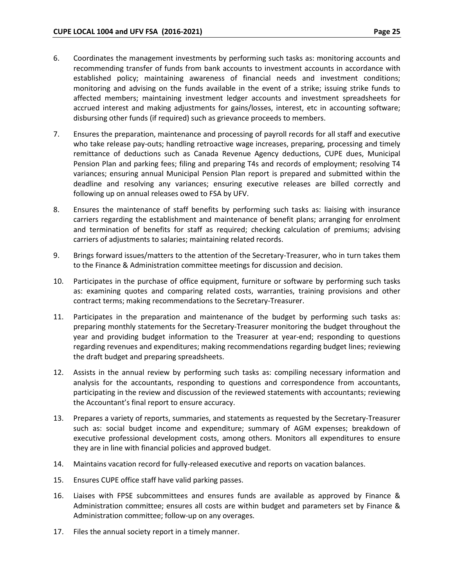- 6. Coordinates the management investments by performing such tasks as: monitoring accounts and recommending transfer of funds from bank accounts to investment accounts in accordance with established policy; maintaining awareness of financial needs and investment conditions; monitoring and advising on the funds available in the event of a strike; issuing strike funds to affected members; maintaining investment ledger accounts and investment spreadsheets for accrued interest and making adjustments for gains/losses, interest, etc in accounting software; disbursing other funds (if required) such as grievance proceeds to members.
- 7. Ensures the preparation, maintenance and processing of payroll records for all staff and executive who take release pay-outs; handling retroactive wage increases, preparing, processing and timely remittance of deductions such as Canada Revenue Agency deductions, CUPE dues, Municipal Pension Plan and parking fees; filing and preparing T4s and records of employment; resolving T4 variances; ensuring annual Municipal Pension Plan report is prepared and submitted within the deadline and resolving any variances; ensuring executive releases are billed correctly and following up on annual releases owed to FSA by UFV.
- 8. Ensures the maintenance of staff benefits by performing such tasks as: liaising with insurance carriers regarding the establishment and maintenance of benefit plans; arranging for enrolment and termination of benefits for staff as required; checking calculation of premiums; advising carriers of adjustments to salaries; maintaining related records.
- 9. Brings forward issues/matters to the attention of the Secretary-Treasurer, who in turn takes them to the Finance & Administration committee meetings for discussion and decision.
- 10. Participates in the purchase of office equipment, furniture or software by performing such tasks as: examining quotes and comparing related costs, warranties, training provisions and other contract terms; making recommendations to the Secretary-Treasurer.
- 11. Participates in the preparation and maintenance of the budget by performing such tasks as: preparing monthly statements for the Secretary-Treasurer monitoring the budget throughout the year and providing budget information to the Treasurer at year-end; responding to questions regarding revenues and expenditures; making recommendations regarding budget lines; reviewing the draft budget and preparing spreadsheets.
- 12. Assists in the annual review by performing such tasks as: compiling necessary information and analysis for the accountants, responding to questions and correspondence from accountants, participating in the review and discussion of the reviewed statements with accountants; reviewing the Accountant's final report to ensure accuracy.
- 13. Prepares a variety of reports, summaries, and statements as requested by the Secretary-Treasurer such as: social budget income and expenditure; summary of AGM expenses; breakdown of executive professional development costs, among others. Monitors all expenditures to ensure they are in line with financial policies and approved budget.
- 14. Maintains vacation record for fully-released executive and reports on vacation balances.
- 15. Ensures CUPE office staff have valid parking passes.
- 16. Liaises with FPSE subcommittees and ensures funds are available as approved by Finance & Administration committee; ensures all costs are within budget and parameters set by Finance & Administration committee; follow-up on any overages.
- 17. Files the annual society report in a timely manner.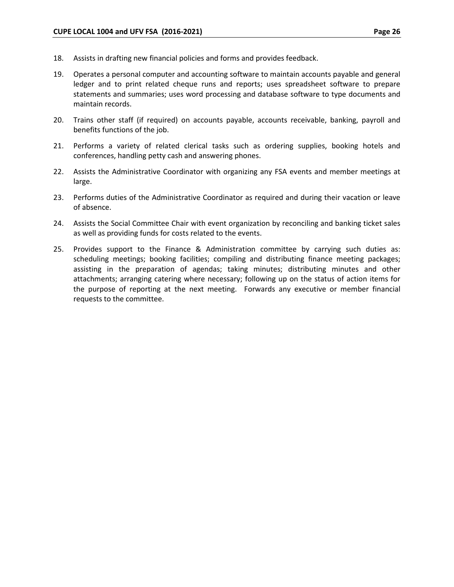- 18. Assists in drafting new financial policies and forms and provides feedback.
- 19. Operates a personal computer and accounting software to maintain accounts payable and general ledger and to print related cheque runs and reports; uses spreadsheet software to prepare statements and summaries; uses word processing and database software to type documents and maintain records.
- 20. Trains other staff (if required) on accounts payable, accounts receivable, banking, payroll and benefits functions of the job.
- 21. Performs a variety of related clerical tasks such as ordering supplies, booking hotels and conferences, handling petty cash and answering phones.
- 22. Assists the Administrative Coordinator with organizing any FSA events and member meetings at large.
- 23. Performs duties of the Administrative Coordinator as required and during their vacation or leave of absence.
- 24. Assists the Social Committee Chair with event organization by reconciling and banking ticket sales as well as providing funds for costs related to the events.
- 25. Provides support to the Finance & Administration committee by carrying such duties as: scheduling meetings; booking facilities; compiling and distributing finance meeting packages; assisting in the preparation of agendas; taking minutes; distributing minutes and other attachments; arranging catering where necessary; following up on the status of action items for the purpose of reporting at the next meeting. Forwards any executive or member financial requests to the committee.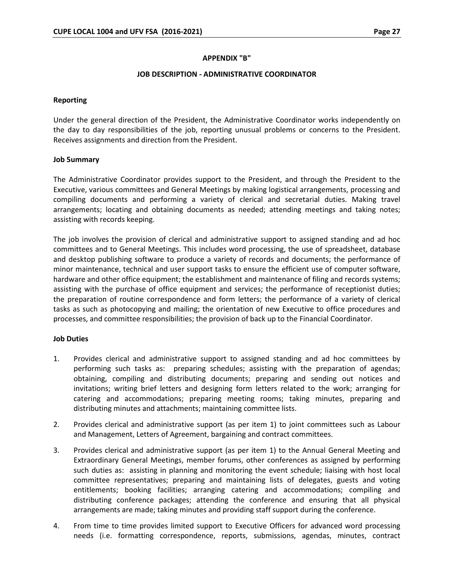#### **APPENDIX "B"**

#### **JOB DESCRIPTION - ADMINISTRATIVE COORDINATOR**

#### **Reporting**

Under the general direction of the President, the Administrative Coordinator works independently on the day to day responsibilities of the job, reporting unusual problems or concerns to the President. Receives assignments and direction from the President.

#### **Job 5ummary**

The Administrative Coordinator provides support to the President, and through the President to the Executive, various committees and General Meetings by making logistical arrangements, processing and compiling documents and performing a variety of clerical and secretarial duties. Making travel arrangements; locating and obtaining documents as needed; attending meetings and taking notes; assisting with records keeping.

The job involves the provision of clerical and administrative support to assigned standing and ad hoc committees and to General Meetings. This includes word processing, the use of spreadsheet, database and desktop publishing software to produce a variety of records and documents; the performance of minor maintenance, technical and user support tasks to ensure the efficient use of computer software, hardware and other office equipment; the establishment and maintenance of filing and records systems; assisting with the purchase of office equipment and services; the performance of receptionist duties; the preparation of routine correspondence and form letters; the performance of a variety of clerical tasks as such as photocopying and mailing; the orientation of new Executive to office procedures and processes, and committee responsibilities; the provision of back up to the Financial Coordinator.

#### **Job Duties**

- 1. Provides clerical and administrative support to assigned standing and ad hoc committees by performing such tasks as: preparing schedules; assisting with the preparation of agendas; obtaining, compiling and distributing documents; preparing and sending out notices and invitations; writing brief letters and designing form letters related to the work; arranging for catering and accommodations; preparing meeting rooms; taking minutes, preparing and distributing minutes and attachments; maintaining committee lists.
- 2. Provides clerical and administrative support (as per item 1) to joint committees such as Labour and Management, Letters of Agreement, bargaining and contract committees.
- 3. Provides clerical and administrative support (as per item 1) to the Annual General Meeting and Extraordinary General Meetings, member forums, other conferences as assigned by performing such duties as: assisting in planning and monitoring the event schedule; liaising with host local committee representatives; preparing and maintaining lists of delegates, guests and voting entitlements; booking facilities; arranging catering and accommodations; compiling and distributing conference packages; attending the conference and ensuring that all physical arrangements are made; taking minutes and providing staff support during the conference.
- 4. From time to time provides limited support to Executive Officers for advanced word processing needs (i.e. formatting correspondence, reports, submissions, agendas, minutes, contract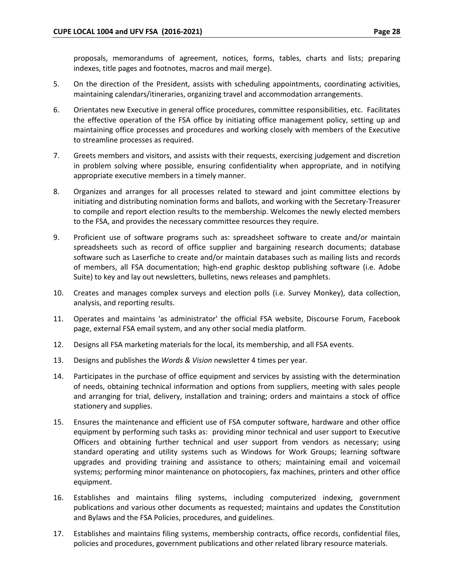proposals, memorandums of agreement, notices, forms, tables, charts and lists; preparing indexes, title pages and footnotes, macros and mail merge).

- 5. On the direction of the President, assists with scheduling appointments, coordinating activities, maintaining calendars/itineraries, organizing travel and accommodation arrangements.
- 6. Orientates new Executive in general office procedures, committee responsibilities, etc. Facilitates the effective operation of the FSA office by initiating office management policy, setting up and maintaining office processes and procedures and working closely with members of the Executive to streamline processes as required.
- 7. Greets members and visitors, and assists with their requests, exercising judgement and discretion in problem solving where possible, ensuring confidentiality when appropriate, and in notifying appropriate executive members in a timely manner.
- 8. Organizes and arranges for all processes related to steward and joint committee elections by initiating and distributing nomination forms and ballots, and working with the Secretary-Treasurer to compile and report election results to the membership. Welcomes the newly elected members to the FSA, and provides the necessary committee resources they require.
- 9. Proficient use of software programs such as: spreadsheet software to create and/or maintain spreadsheets such as record of office supplier and bargaining research documents; database software such as Laserfiche to create and/or maintain databases such as mailing lists and records of members, all FSA documentation; high-end graphic desktop publishing software (i.e. Adobe Suite) to key and lay out newsletters, bulletins, news releases and pamphlets.
- 10. Creates and manages complex surveys and election polls (i.e. Survey Monkey), data collection, analysis, and reporting results.
- 11. Operates and maintains 'as administrator' the official FSA website, Discourse Forum, Facebook page, external FSA email system, and any other social media platform.
- 12. Designs all FSA marketing materials for the local, its membership, and all FSA events.
- 13. Designs and publishes the *Words & Vision* newsletter 4 times per year.
- 14. Participates in the purchase of office equipment and services by assisting with the determination of needs, obtaining technical information and options from suppliers, meeting with sales people and arranging for trial, delivery, installation and training; orders and maintains a stock of office stationery and supplies.
- 15. Ensures the maintenance and efficient use of FSA computer software, hardware and other office equipment by performing such tasks as: providing minor technical and user support to Executive Officers and obtaining further technical and user support from vendors as necessary; using standard operating and utility systems such as Windows for Work Groups; learning software upgrades and providing training and assistance to others; maintaining email and voicemail systems; performing minor maintenance on photocopiers, fax machines, printers and other office equipment.
- 16. Establishes and maintains filing systems, including computerized indexing, government publications and various other documents as requested; maintains and updates the Constitution and Bylaws and the FSA Policies, procedures, and guidelines.
- 17. Establishes and maintains filing systems, membership contracts, office records, confidential files, policies and procedures, government publications and other related library resource materials.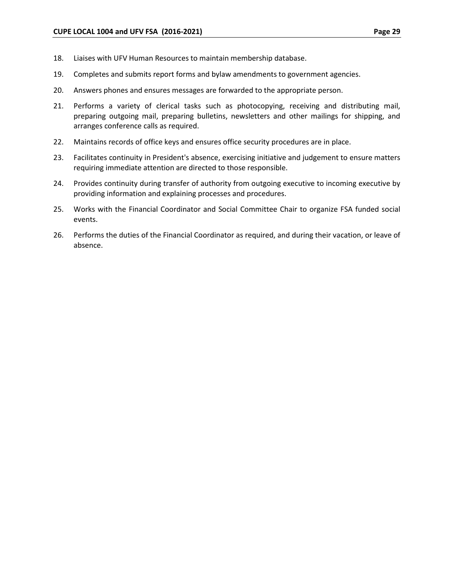- 18. Liaises with UFV Human Resources to maintain membership database.
- 19. Completes and submits report forms and bylaw amendments to government agencies.
- 20. Answers phones and ensures messages are forwarded to the appropriate person.
- 21. Performs a variety of clerical tasks such as photocopying, receiving and distributing mail, preparing outgoing mail, preparing bulletins, newsletters and other mailings for shipping, and arranges conference calls as required.
- 22. Maintains records of office keys and ensures office security procedures are in place.
- 23. Facilitates continuity in President's absence, exercising initiative and judgement to ensure matters requiring immediate attention are directed to those responsible.
- 24. Provides continuity during transfer of authority from outgoing executive to incoming executive by providing information and explaining processes and procedures.
- 25. Works with the Financial Coordinator and Social Committee Chair to organize FSA funded social events.
- 26. Performs the duties of the Financial Coordinator as required, and during their vacation, or leave of absence.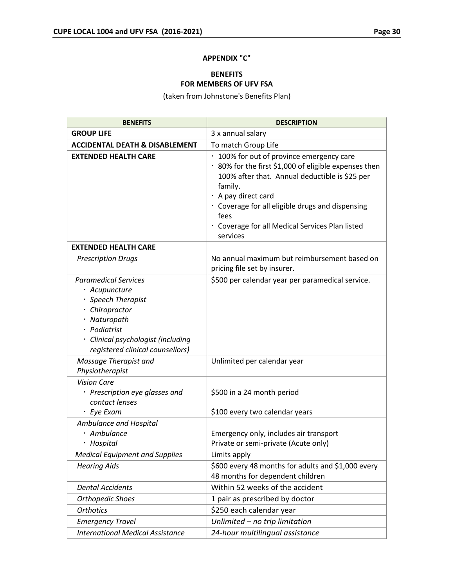#### **APPENDIX "C"**

# **BENEFITS FOR MEMBERS OF UFV FSA**

(taken from Johnstone's Benefits Plan)

| <b>BENEFITS</b>                                                                                                                                                                                | <b>DESCRIPTION</b>                                                                                                                                                                                                                                                                                                |
|------------------------------------------------------------------------------------------------------------------------------------------------------------------------------------------------|-------------------------------------------------------------------------------------------------------------------------------------------------------------------------------------------------------------------------------------------------------------------------------------------------------------------|
| <b>GROUP LIFE</b>                                                                                                                                                                              | 3 x annual salary                                                                                                                                                                                                                                                                                                 |
| <b>ACCIDENTAL DEATH &amp; DISABLEMENT</b>                                                                                                                                                      | To match Group Life                                                                                                                                                                                                                                                                                               |
| <b>EXTENDED HEALTH CARE</b>                                                                                                                                                                    | • 100% for out of province emergency care<br>· 80% for the first \$1,000 of eligible expenses then<br>100% after that. Annual deductible is \$25 per<br>family.<br>· A pay direct card<br>· Coverage for all eligible drugs and dispensing<br>fees<br>· Coverage for all Medical Services Plan listed<br>services |
| <b>EXTENDED HEALTH CARE</b>                                                                                                                                                                    |                                                                                                                                                                                                                                                                                                                   |
| <b>Prescription Drugs</b>                                                                                                                                                                      | No annual maximum but reimbursement based on<br>pricing file set by insurer.                                                                                                                                                                                                                                      |
| <b>Paramedical Services</b><br>· Acupuncture<br>· Speech Therapist<br>· Chiropractor<br>· Naturopath<br>· Podiatrist<br>· Clinical psychologist (including<br>registered clinical counsellors) | \$500 per calendar year per paramedical service.                                                                                                                                                                                                                                                                  |
| Massage Therapist and<br>Physiotherapist                                                                                                                                                       | Unlimited per calendar year                                                                                                                                                                                                                                                                                       |
| <b>Vision Care</b><br>· Prescription eye glasses and<br>contact lenses<br>· Eye Exam                                                                                                           | \$500 in a 24 month period<br>\$100 every two calendar years                                                                                                                                                                                                                                                      |
| Ambulance and Hospital<br>· Ambulance<br>· Hospital                                                                                                                                            | Emergency only, includes air transport<br>Private or semi-private (Acute only)                                                                                                                                                                                                                                    |
| <b>Medical Equipment and Supplies</b>                                                                                                                                                          | Limits apply                                                                                                                                                                                                                                                                                                      |
| <b>Hearing Aids</b>                                                                                                                                                                            | \$600 every 48 months for adults and \$1,000 every<br>48 months for dependent children                                                                                                                                                                                                                            |
| <b>Dental Accidents</b>                                                                                                                                                                        | Within 52 weeks of the accident                                                                                                                                                                                                                                                                                   |
| <b>Orthopedic Shoes</b>                                                                                                                                                                        | 1 pair as prescribed by doctor                                                                                                                                                                                                                                                                                    |
| <b>Orthotics</b>                                                                                                                                                                               | \$250 each calendar year                                                                                                                                                                                                                                                                                          |
| <b>Emergency Travel</b>                                                                                                                                                                        | Unlimited - no trip limitation                                                                                                                                                                                                                                                                                    |
| <b>International Medical Assistance</b>                                                                                                                                                        | 24-hour multilingual assistance                                                                                                                                                                                                                                                                                   |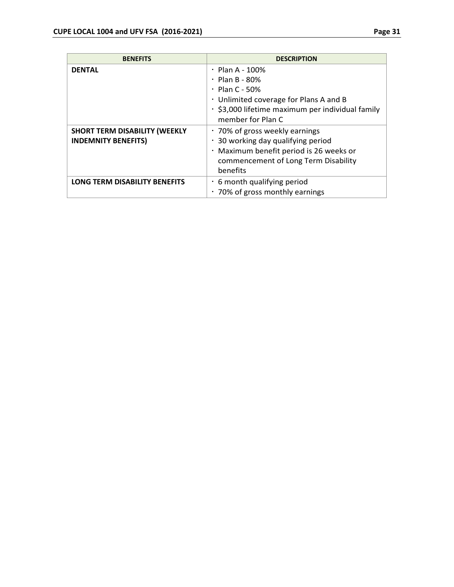| <b>BENEFITS</b>                                                    | <b>DESCRIPTION</b>                                                                                                                                                                       |
|--------------------------------------------------------------------|------------------------------------------------------------------------------------------------------------------------------------------------------------------------------------------|
| <b>DENTAL</b>                                                      | $\cdot$ Plan A - 100%<br>$\cdot$ Plan B - 80%<br>$\cdot$ Plan C - 50%<br>· Unlimited coverage for Plans A and B<br>· \$3,000 lifetime maximum per individual family<br>member for Plan C |
| <b>SHORT TERM DISABILITY (WEEKLY</b><br><b>INDEMNITY BENEFITS)</b> | • 70% of gross weekly earnings<br>30 working day qualifying period<br>· Maximum benefit period is 26 weeks or<br>commencement of Long Term Disability<br>benefits                        |
| <b>LONG TERM DISABILITY BENEFITS</b>                               | 6 month qualifying period<br>70% of gross monthly earnings                                                                                                                               |